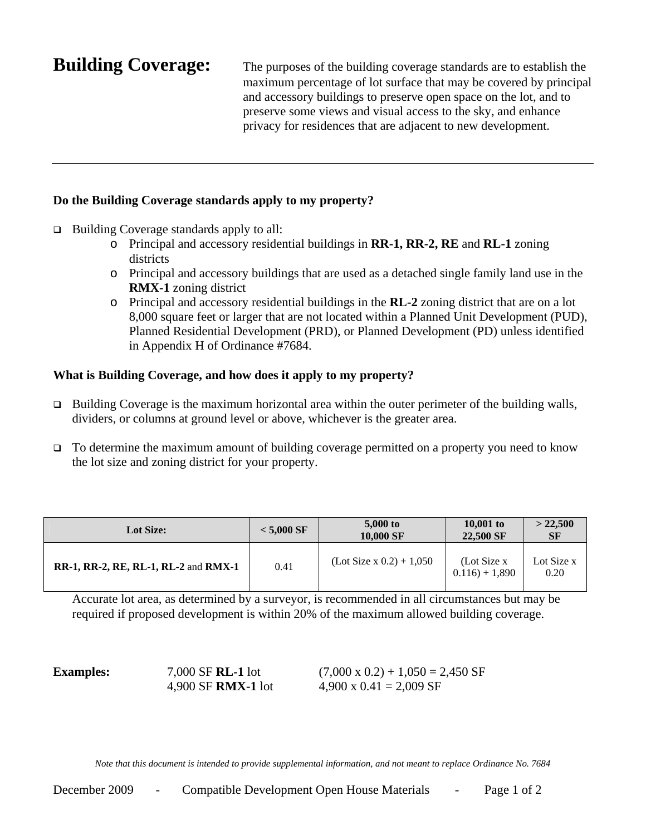**Building Coverage:** The purposes of the building coverage standards are to establish the maximum percentage of lot surface that may be covered by principal and accessory buildings to preserve open space on the lot, and to preserve some views and visual access to the sky, and enhance privacy for residences that are adjacent to new development.

## **Do the Building Coverage standards apply to my property?**

- □ Building Coverage standards apply to all:
	- o Principal and accessory residential buildings in **RR-1, RR-2, RE** and **RL-1** zoning districts
	- o Principal and accessory buildings that are used as a detached single family land use in the **RMX-1** zoning district
	- o Principal and accessory residential buildings in the **RL-2** zoning district that are on a lot 8,000 square feet or larger that are not located within a Planned Unit Development (PUD), Planned Residential Development (PRD), or Planned Development (PD) unless identified in Appendix H of Ordinance #7684.

## **What is Building Coverage, and how does it apply to my property?**

- $\Box$  Building Coverage is the maximum horizontal area within the outer perimeter of the building walls, dividers, or columns at ground level or above, whichever is the greater area.
- $\Box$  To determine the maximum amount of building coverage permitted on a property you need to know the lot size and zoning district for your property.

| <b>Lot Size:</b>                            | $< 5.000$ SF | 5,000 to<br>10,000 SF          | 10,001 to<br>22.500 SF          | $>$ 22,500<br><b>SF</b> |
|---------------------------------------------|--------------|--------------------------------|---------------------------------|-------------------------|
| <b>RR-1, RR-2, RE, RL-1, RL-2 and RMX-1</b> | 0.41         | $($ Lot Size x 0.2 $) + 1,050$ | (Lot Size x)<br>$0.116$ + 1,890 | Lot Size x<br>0.20      |

Accurate lot area, as determined by a surveyor, is recommended in all circumstances but may be required if proposed development is within 20% of the maximum allowed building coverage.

**Examples:** 7,000 SF **RL-1** lot  $(7,000 \times 0.2) + 1,050 = 2,450$  SF 4,900 SF **RMX-1** lot 4,900 x 0.41 = 2,009 SF

*Note that this document is intended to provide supplemental information, and not meant to replace Ordinance No. 7684*